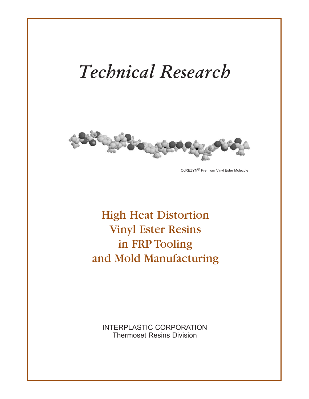# *Technical Research*



CoREZYN® Premium Vinyl Ester Molecule

# High Heat Distortion Vinyl Ester Resins in FRP Tooling and Mold Manufacturing

INTERPLASTIC CORPORATION Thermoset Resins Division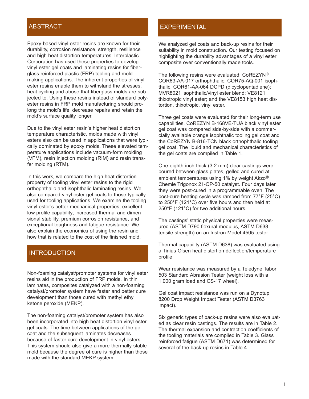Epoxy-based vinyl ester resins are known for their durability, corrosion resistance, strength, resilience and high heat distortion temperatures. Interplastic Corporation has used these properties to develop vinyl ester gel coats and laminating resins for fiberglass reinforced plastic (FRP) tooling and moldmaking applications. The inherent properties of vinyl ester resins enable them to withstand the stresses, heat cycling and abuse that fiberglass molds are subjected to. Using these resins instead of standard polyester resins in FRP mold manufacturing should prolong the mold's life, decrease repairs and retain the mold's surface quality longer.

Due to the vinyl ester resin's higher heat distortion temperature characteristic, molds made with vinyl esters also can be used in applications that were typically dominated by epoxy molds. These elevated temperature applications include vacuum-form molding (VFM), resin injection molding (RIM) and resin transfer molding (RTM).

In this work, we compare the high heat distortion property of tooling vinyl ester resins to the rigid orthophthalic and isophthalic laminating resins. We also compared vinyl ester gel coats to those typically used for tooling applications. We examine the tooling vinyl ester's better mechanical properties, excellent low profile capability, increased thermal and dimensional stability, premium corrosion resistance, and exceptional toughness and fatigue resistance. We also explain the economics of using the resin and how that is related to the cost of the finished mold.

#### INTRODUCTION

Non-foaming catalyst/promoter systems for vinyl ester resins aid in the production of FRP molds. In thin laminates, composites catalyzed with a non-foaming catalyst/promoter system have faster and better cure development than those cured with methyl ethyl ketone peroxide (MEKP).

The non-foaming catalyst/promoter system has also been incorporated into high heat distortion vinyl ester gel coats. The time between applications of the gel coat and the subsequent laminates decreases because of faster cure development in vinyl esters. This system should also give a more thermally-stable mold because the degree of cure is higher than those made with the standard MEKP system.

#### ABSTRACT AND CONTROL CONTROL CONTROL ABSTRACT

We analyzed gel coats and back-up resins for their suitability in mold construction. Our testing focused on highlighting the durability advantages of a vinyl ester composite over conventionally made tools.

The following resins were evaluated:  $\text{CoREZYN}^{\circledR}$ COR63-AA-017 orthophthalic; COR75-AQ-001 isophthalic, COR61-AA-064 DCPD (dicyclopentadiene); MVR8021 isophthalic/vinyl ester blend; VE8121 thixotropic vinyl ester; and the VE8153 high heat distortion, thixotropic, vinyl ester.

Three gel coats were evaluated for their long-term use capabilities. CoREZYN B-168VE-TUA black vinyl ester gel coat was compared side-by-side with a commercially available orange isophthalic tooling gel coat and the CoREZYN B-816-TCN black orthophthalic tooling gel coat. The liquid and mechanical characteristics of the gel coats are compiled in Table 1.

One-eighth-inch-thick (3.2 mm) clear castings were poured between glass plates, gelled and cured at ambient temperatures using 1% by weight Akzo® Chemie Trigonox 21-OP-50 catalyst. Four days later they were post-cured in a programmable oven. The post-cure heating cycle was ramped from 77°F (25°C) to 250°F (121°C) over five hours and then held at 250°F (121°C) for two additional hours.

The castings' static physical properties were measured (ASTM D790 flexural modulus, ASTM D638 tensile strength) on an Instron Model 4505 tester.

Thermal capability (ASTM D638) was evaluated using a Tinius Olsen heat distortion deflection/temperature profile

Wear resistance was measured by a Teledyne Tabor 503 Standard Abrasion Tester (weight loss with a 1,000 gram load and CS-17 wheel).

Gel coat impact resistance was run on a Dynotup 8200 Drop Weight Impact Tester (ASTM D3763 impact).

Six generic types of back-up resins were also evaluated as clear resin castings. The results are in Table 2. The thermal expansion and contraction coefficients of the tooling materials are compiled in Table 3. Glass reinforced fatigue (ASTM D671) was determined for several of the back-up resins in Table 4.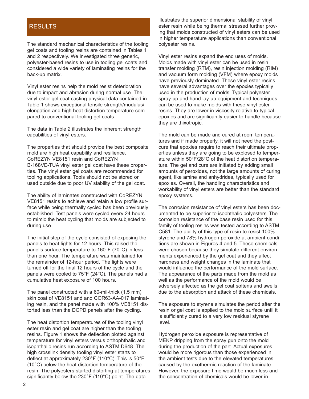#### RESULTS

The standard mechanical characteristics of the tooling gel coats and tooling resins are contained in Tables 1 and 2 respectively. We investigated three generic, polyester-based resins to use in tooling gel coats and considered a wide variety of laminating resins for the back-up matrix.

Vinyl ester resins help the mold resist deterioration due to impact and abrasion during normal use. The vinyl ester gel coat casting physical data contained in Table 1 shows exceptional tensile strength/modulus/ elongation and high heat distortion temperature compared to conventional tooling gel coats.

The data in Table 2 illustrates the inherent strength capabilities of vinyl esters.

The properties that should provide the best composite mold are high heat capability and resilience. CoREZYN VE8151 resin and CoREZYN B-168VE-TUA vinyl ester gel coat have these properties. The vinyl ester gel coats are recommended for tooling applications. Tools should not be stored or used outside due to poor UV stability of the gel coat.

The ability of laminates constructed with CoREZYN VE8151 resins to achieve and retain a low profile surface while being thermally cycled has been previously established. Test panels were cycled every 24 hours to mimic the heat cycling that molds are subjected to during use.

The initial step of the cycle consisted of exposing the panels to heat lights for 12 hours. This raised the panel's surface temperature to 160°F (70°C) in less than one hour. The temperature was maintained for the remainder of 12-hour period. The lights were turned off for the final 12 hours of the cycle and the panels were cooled to 75°F (24°C). The panels had a cumulative heat exposure of 100 hours.

The panel constructed with a 60-mil-thick (1.5 mm) skin coat of VE8151 and and COR63-AA-017 laminating resin, and the panel made with 100% VE8151 distorted less than the DCPD panels after the cycling.

The heat distortion temperatures of the tooling vinyl ester resin and gel coat are higher than the tooling resins. Figure 1 shows the deflection plotted against temperature for vinyl esters versus orthophthalic and isophthalic resins run according to ASTM D648. The high crosslink density tooling vinyl ester starts to deflect at approximately 230°F (110°C). This is 50°F (10°C) below the heat distortion temperature of the resin. The polyesters started distorting at temperatures significantly below the 230°F (110°C) point. The data

illustrates the superior dimensional stability of vinyl ester resin while being thermal stressed further proving that molds constructed of vinyl esters can be used in higher temperature applications than conventional polyester resins.

Vinyl ester resins expand the end uses of molds. Molds made with vinyl ester can be used in resin transfer molding (RTM), resin injection molding (RIM) and vacuum form molding (VFM) where epoxy molds have previously dominated. These vinyl ester resins have several advantages over the epoxies typically used in the production of molds. Typical polyester spray-up and hand lay-up equipment and techniques can be used to make molds with these vinyl ester resins. They are lower in viscosity relative to typical epoxies and are significantly easier to handle because they are thixotropic.

The mold can be made and cured at room temperatures and if made properly, it will not need the postcure that epoxies require to reach their ultimate properties unless they are going to be explosed to temperature within 50°F/28°C of the heat distortion temperature. The gel and cure are initiated by adding small amounts of peroxides, not the large amounts of curing agent, like amine and anhydrides, typically used for epoxies. Overall, the handling characteristics and workability of vinyl esters are better than the standard epoxy systems.

The corrosion resistance of vinyl esters has been documented to be superior to isophthalic polyesters. The corrosion resistance of the base resin used for this family of tooling resins was tested according to ASTM C581. The ability of this type of resin to resist 100% styrene and 78% hydrogen peroxide at ambient conditions are shown in Figures 4 and 5. These chemicals were chosen because they simulate different environments experienced by the gel coat and they affect hardness and weight changes in the laminate that would influence the performance of the mold surface. The appearance of the parts made from the mold as well as the performance of the mold would be adversely affected as the gel coat softens and swells due to the absorption and attack of these chemicals.

The exposure to styrene simulates the period after the resin or gel coat is applied to the mold surface until it is sufficiently cured to a very low residual styrene level.

Hydrogen peroxide exposure is representative of MEKP dripping from the spray gun onto the mold during the production of the part. Actual exposures would be more rigorous than those experienced in the ambient tests due to the elevated temperatures caused by the exothermic reaction of the laminate. However, the exposure time would be much less and the concentration of chemicals would be lower in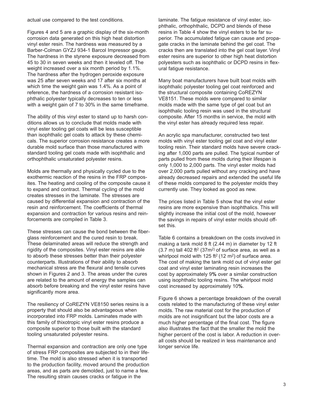actual use compared to the test conditions.

Figures 4 and 5 are a graphic display of the six-month corrosion data generated on this high heat distortion vinyl ester resin. The hardness was measured by a Barber-Colman GYZJ 934-1 Barcol Impressor gauge. The hardness in the styrene exposure decreased from 45 to 30 in seven weeks and then it leveled off. The weight increased over a six month period by 1.1%. The hardness after the hydrogen peroxide exposure was 25 after seven weeks and 17 after six months at which time the weight gain was 1.4%. As a point of reference, the hardness of a corrosion resistant isophthalic polyester typically decreases to ten or less with a weight gain of 7 to 30% in the same timeframe.

The ability of this vinyl ester to stand up to harsh conditions allows us to conclude that molds made with vinyl ester tooling gel coats will be less susceptible than isophthalic gel coats to attack by these chemicals. The superior corrosion resistance creates a more durable mold surface than those manufactured with standard tooling gel coats made with isophthalic and orthophthalic unsaturated polyester resins.

Molds are thermally and physically cycled due to the exothermic reaction of the resins in the FRP composites. The heating and cooling of the composite cause it to expand and contract. Thermal cycling of the mold creates stresses in the laminate. The stresses are caused by differential expansion and contraction of the resin and reinforcement. The coefficients of thermal expansion and contraction for various resins and reinforcements are compiled in Table 3.

These stresses can cause the bond between the fiberglass reinforcement and the cured resin to break. These delaminated areas will reduce the strength and rigidity of the composites. Vinyl ester resins are able to absorb these stresses better than their polyester counterparts. Illustrations of their ability to absorb mechanical stress are the flexural and tensile curves shown in Figures 2 and 3. The areas under the cures are related to the amount of energy the samples can absorb before breaking and the vinyl ester resins have significantly more area.

The resiliency of CoREZYN VE8150 series resins is a property that should also be advantageous when incorporated into FRP molds. Laminates made with this family of thixotropic vinyl ester resins produce a composite superior to those built with the standard tooling unsaturated polyester resins.

Thermal expansion and contraction are only one type of stress FRP composites are subjected to in their lifetime. The mold is also stressed when it is transported to the production facility, moved around the production areas, and as parts are demolded, just to name a few. The resulting strain causes cracks or fatigue in the

laminate. The fatigue resistance of vinyl ester, isophthalic, orthophthalic, DCPD and blends of these resins in Table 4 show the vinyl esters to be far superior. The accumulated fatigue can cause and propagate cracks in the laminate behind the gel coat. The cracks then are translated into the gel coat layer. Vinyl ester resins are superior to other high heat distortion polyesters such as isophthalic or DCPD resins in flexural fatigue resistance.

Many boat manufacturers have built boat molds with isophthalic polyester tooling gel coat reinforced and the structural composite containing CoREZYN VE8151. These molds were compared to similar molds made with the same type of gel coat but an isophthalic tooling resin was used in the structural composite. After 15 months in service, the mold with the vinyl ester has already required less repair.

An acrylic spa manufacturer, constructed two test molds with vinyl ester tooling gel coat and vinyl ester tooling resin. Their standard molds have severe cracking after 1,000 parts are pulled. The typical number of parts pulled from these molds during their lifespan is only 1,000 to 2,000 parts. The vinyl ester molds had over 2,000 parts pulled without any cracking and have already decreased repairs and extended the useful life of these molds compared to the polyester molds they currently use. They looked as good as new.

The prices listed in Table 5 show that the vinyl ester resins are more expensive than isophthalics. This will slightly increase the initial cost of the mold, however the savings in repairs of vinyl ester molds should offset this.

Table 6 contains a breakdown on the costs involved in making a tank mold 8 ft (2.44 m) in diameter by 12 ft  $(3.7 \text{ m})$  tall 402 ft<sup>2</sup> (37m<sup>2)</sup> of surface area, as well as a whirlpool mold with 125 ft<sup>2</sup> (12 m<sup>2</sup>) of surface area. The cost of making the tank mold out of vinyl ester gel coat and vinyl ester laminating resin increases the cost by approximately 9**%** over a similar construction using isophthalic tooling resins. The whirlpool mold cost increased by approximately 10**%**.

Figure 6 shows a percentage breakdown of the overall costs related to the manufacturing of these vinyl ester molds. The raw material cost for the production of molds are not insignificant but the labor costs are a much higher percentage of the final cost. The figure also illustrates the fact that the smaller the mold the higher percent of the cost is labor. A reduction in overall costs should be realized in less maintenance and longer service life.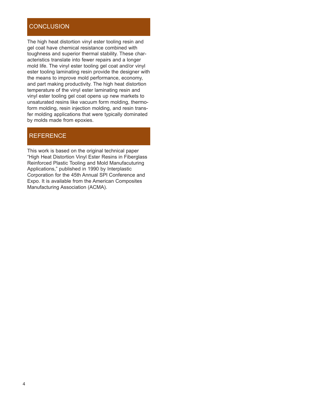#### **CONCLUSION**

The high heat distortion vinyl ester tooling resin and gel coat have chemical resistance combined with toughness and superior thermal stability. These characteristics translate into fewer repairs and a longer mold life. The vinyl ester tooling gel coat and/or vinyl ester tooling laminating resin provide the designer with the means to improve mold performance, economy, and part making productivity. The high heat distortion temperature of the vinyl ester laminating resin and vinyl ester tooling gel coat opens up new markets to unsaturated resins like vacuum form molding, thermoform molding, resin injection molding, and resin transfer molding applications that were typically dominated by molds made from epoxies.

#### **REFERENCE**

This work is based on the original technical paper "High Heat Distortion Vinyl Ester Resins in Fiberglass Reinforced Plastic Tooling and Mold Manufacuturing Applications," published in 1990 by Interplastic Corporation for the 45th Annual SPI Conference and Expo. It is available from the American Composites Manufacturing Association (ACMA).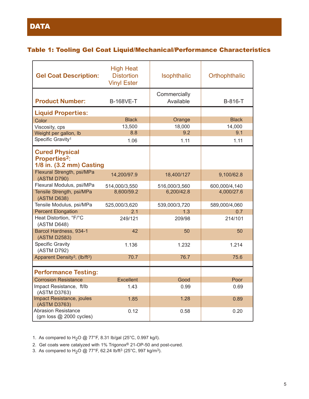#### Table 1: Tooling Gel Coat Liquid/Mechanical/Performance Characteristics

| <b>Gel Coat Description:</b>                                                        | <b>High Heat</b><br><b>Distortion</b><br><b>Vinyl Ester</b> | Isophthalic               | Orthophthalic |  |  |
|-------------------------------------------------------------------------------------|-------------------------------------------------------------|---------------------------|---------------|--|--|
| <b>Product Number:</b>                                                              | <b>B-168VE-T</b>                                            | Commercially<br>Available | B-816-T       |  |  |
| <b>Liquid Properties:</b>                                                           |                                                             |                           |               |  |  |
| Color                                                                               | <b>Black</b>                                                | Orange                    | <b>Black</b>  |  |  |
| Viscosity, cps                                                                      | 13,500                                                      | 18,000                    | 14,000        |  |  |
| Weight per gallon, Ib                                                               | 8.8                                                         | 9.2                       | 9.1           |  |  |
| Specific Gravity <sup>1</sup>                                                       | 1.06                                                        | 1.11                      | 1.11          |  |  |
| <b>Cured Physical</b><br><b>Properties<sup>2</sup>:</b><br>1/8 in. (3.2 mm) Casting |                                                             |                           |               |  |  |
| Flexural Strength, psi/MPa<br>(ASTM D790)                                           | 14,200/97.9                                                 | 18,400/127                | 9,100/62.8    |  |  |
| Flexural Modulus, psi/MPa                                                           | 514,000/3,550                                               | 516,000/3,560             | 600,000/4,140 |  |  |
| Tensile Strength, psi/MPa<br>(ASTM D638)                                            | 8,600/59.2                                                  | 6,200/42.8                | 4,000/27.6    |  |  |
| Tensile Modulus, psi/MPa                                                            | 525,000/3,620                                               | 539,000/3,720             | 589,000/4,060 |  |  |
| <b>Percent Elongation</b>                                                           | 2.1                                                         | 1.3                       | 0.7           |  |  |
| Heat Distortion, °F/°C<br>(ASTM D648)                                               | 249/121                                                     | 209/98                    | 214/101       |  |  |
| Barcol Hardness, 934-1<br>(ASTM D2583)                                              | 42                                                          | 50                        | 50            |  |  |
| <b>Specific Gravity</b><br>(ASTM D792)                                              | 1.136                                                       | 1.232                     | 1.214         |  |  |
| Apparent Density <sup>3</sup> , (lb/ft <sup>3</sup> )                               | 70.7                                                        | 76.7                      | 75.6          |  |  |
| <b>Performance Testing:</b>                                                         |                                                             |                           |               |  |  |
| <b>Corrosion Resistance</b>                                                         | <b>Excellent</b>                                            | Good                      | Poor          |  |  |
| Impact Resistance, ft/lb<br>(ASTM D3763)                                            | 1.43                                                        | 0.99                      | 0.69          |  |  |
| Impact Resistance, joules<br>(ASTM D3763)                                           | 1.85                                                        | 1.28                      | 0.89          |  |  |
| <b>Abrasion Resistance</b><br>(gm loss @ 2000 cycles)                               | 0.12                                                        | 0.58                      | 0.20          |  |  |

1. As compared to H<sub>2</sub>O @ 77°F, 8.31 lb/gal (25°C, 0.997 kg/l).

2. Gel coats were catalyzed with 1% Trigonox® 21-OP-50 and post-cured.

3. As compared to H<sub>2</sub>O @ 77°F, 62.24 lb/ft<sup>3</sup> (25°C, 997 kg/m<sup>3</sup>).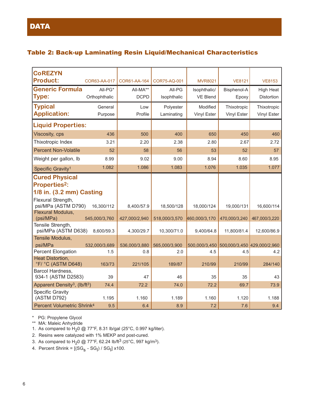### Table 2: Back-up Laminating Resin Liquid/Mechanical Characteristics

| <b>CoREZYN</b>                                        |               |               |               |                |                                           |                  |
|-------------------------------------------------------|---------------|---------------|---------------|----------------|-------------------------------------------|------------------|
| <b>Product:</b>                                       | COR63-AA-017  | COR61-AA-164  | COR75-AQ-001  | <b>MVR8021</b> | <b>VE8121</b>                             | <b>VE8153</b>    |
| <b>Generic Formula</b>                                | All-PG*       | All-MA**      | All-PG        | Isophthalic/   | Bisphenol-A                               | <b>High Heat</b> |
| <b>Type:</b>                                          | Orthophthalic | <b>DCPD</b>   | Isophthalic   | VE Blend       | Epoxy                                     | Distortion       |
| <b>Typical</b>                                        | General       | Low           | Polyester     | Modified       | Thixotropic                               | Thixotropic      |
| <b>Application:</b>                                   | Purpose       | Profile       | Laminating    | Vinyl Ester    | Vinyl Ester                               | Vinyl Ester      |
| <b>Liquid Properties:</b>                             |               |               |               |                |                                           |                  |
| Viscosity, cps                                        | 436           | 500           | 400           | 650            | 450                                       | 460              |
| Thixotropic Index                                     | 3.21          | 2.20          | 2.38          | 2.80           | 2.67                                      | 2.72             |
| <b>Percent Non-Volatile</b>                           | 52            | 58            | 56            | 53             | 52                                        | 57               |
| Weight per gallon, Ib                                 | 8.99          | 9.02          | 9.00          | 8.94           | 8.60                                      | 8.95             |
| Specific Gravity <sup>1</sup>                         | 1.082         | 1.086         | 1.083         | 1.076          | 1.035                                     | 1.077            |
| <b>Cured Physical</b>                                 |               |               |               |                |                                           |                  |
| <b>Properties<sup>2</sup>:</b>                        |               |               |               |                |                                           |                  |
| 1/8 in. (3.2 mm) Casting                              |               |               |               |                |                                           |                  |
| Flexural Strength,                                    |               |               |               |                |                                           |                  |
| psi/MPa (ASTM D790)<br>Flexural Modulus,              | 16,300/112    | 8,400/57.9    | 18,500/128    | 18,000/124     | 19,000/131                                | 16,600/114       |
| (psi/MPa)                                             | 545,000/3,760 | 427,000/2,940 | 518,000/3,570 | 460,000/3,170  | 470,000/3,240                             | 467,000/3,220    |
| Tensile Strength,<br>psi/MPa (ASTM D638)              | 8,600/59.3    | 4,300/29.7    | 10,300/71.0   | 9,400/64.8     | 11,800/81.4                               | 12,600/86.9      |
| Tensile Modulus,                                      |               |               |               |                |                                           |                  |
| psi/MPa                                               | 532,000/3,689 | 536,000/3,880 | 565,000/3,900 |                | 500,000/3,450 500,000/3,450 429,000/2,960 |                  |
| <b>Percent Elongation</b><br>Heat Distortion,         | 1.5           | 0.8           | 2.0           | 4.5            | 4.5                                       | 4.2              |
| °F/ °C (ASTM D648)                                    | 163/73        | 221/105       | 189/87        | 210/99         | 210/99                                    | 284/140          |
| Barcol Hardness,<br>934-1 (ASTM D2583)                | 39            | 47            | 46            | 35             | 35                                        | 43               |
| Apparent Density <sup>3</sup> , (lb/ft <sup>3</sup> ) | 74.4          | 72.2          | 74.0          | 72.2           | 69.7                                      | 73.9             |
| <b>Specific Gravity</b><br>(ASTM D792)                | 1.195         | 1.160         | 1.189         | 1.160          | 1.120                                     | 1.188            |
| Percent Volumetric Shrink <sup>4</sup>                | 9.5           | 6.4           | 8.9           | 7.2            | 7.6                                       | 9.4              |

\* PG: Propylene Glycol

\*\* MA: Maleic Anhydride

1. As compared to  $H<sub>2</sub>0$  @ 77°F, 8.31 lb/gal (25°C, 0.997 kg/liter).

2. Resins were catalyzed with 1% MEKP and post-cured.

3. As compared to H<sub>2</sub>0 @ 77°F, 62.24 lb/ft<sup>3</sup> (25°C, 997 kg/m<sup>3</sup>).

4. Percent Shrink = [(SG<sub>S</sub> - SG<sub>I</sub>) / SG<sub>I</sub>] x100.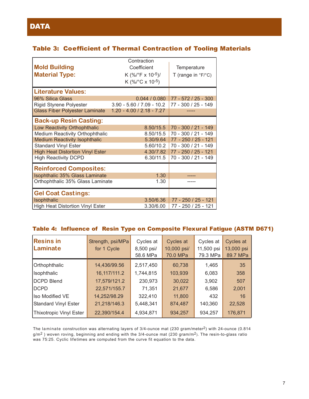## Table 3: Coefficient of Thermal Contraction of Tooling Materials

|                                         | Contraction                          |                                       |
|-----------------------------------------|--------------------------------------|---------------------------------------|
| <b>Mold Building</b>                    | Coefficient                          | Temperature                           |
| <b>Material Type:</b>                   | K $(\frac{9}{6})^{\circ}$ F x 10-5)/ | T (range in $\degree$ F/ $\degree$ C) |
|                                         | K (%/°C x 10-5)                      |                                       |
| <b>Literature Values:</b>               |                                      |                                       |
| 96% Silica Glass                        | 0.044 / 0.080                        | 77 - 572 / 25 - 300                   |
| <b>Rigid Styrene Polyester</b>          | $3.90 - 5.60 / 7.09 - 10.2$          | 77 - 300 / 25 - 149                   |
| <b>Glass Fiber Polyester Laminate</b>   | $1.20 - 4.00 / 2.18 - 7.27$          |                                       |
| <b>Back-up Resin Casting:</b>           |                                      |                                       |
| Low Reactivity Orthophthalic            | 8.50/15.5                            | 70 - 300 / 21 - 149                   |
| Medium Reactivity Orthophthalic         | 8.50/15.5                            | 70 - 300 / 21 - 149                   |
| <b>Medium Reactivity Isophthalic</b>    | 5.30/9.64                            | 77 - 250 / 25 - 121                   |
| <b>Standard Vinyl Ester</b>             | 5.60/10.2                            | 70 - 300 / 21 - 149                   |
| <b>High Heat Distortion Vinyl Ester</b> | 4.30/7.82                            | 77 - 250 / 25 - 121                   |
| <b>High Reactivity DCPD</b>             | 6.30/11.5                            | 70 - 300 / 21 - 149                   |
| <b>Reinforced Composites:</b>           |                                      |                                       |
| Isophthalic 35% Glass Laminate          | 1.30                                 |                                       |
| Orthophthalic 35% Glass Laminate        | 1.30                                 |                                       |
| <b>Gel Coat Castings:</b>               |                                      |                                       |
| Isophthalic                             | 3.50/6.36                            | 77 - 250 / 25 - 121                   |
| <b>High Heat Distortion Vinyl Ester</b> | 3.30/6.00                            | 77 - 250 / 25 - 121                   |

#### Table 4: Influence of Resin Type on Composite Flexural Fatigue (ASTM D671)

| <b>Resins in</b><br>Laminate | Strength, psi/MPa<br>for 1 Cycle | Cycles at<br>8,500 psi/<br>58.6 MPa | Cycles at<br>10,000 psi/<br>70.0 MPa | Cycles at<br>11,500 psi<br>79.3 MPa | Cycles at<br>13,000 psi<br>89.7 MPa |
|------------------------------|----------------------------------|-------------------------------------|--------------------------------------|-------------------------------------|-------------------------------------|
| Orthophthalic                | 14,436/99.56                     | 2,517,450                           | 60,738                               | 1,465                               | 35                                  |
| Isophthalic                  | 16, 117/111.2                    | 1,744,815                           | 103,939                              | 6,083                               | 358                                 |
| DCPD Blend                   | 17,579/121.2                     | 230,973                             | 30,022                               | 3,902                               | 507                                 |
| <b>DCPD</b>                  | 22,571/155.7                     | 71,351                              | 21,677                               | 6,586                               | 2,001                               |
| Iso Modified VE              | 14,252/98.29                     | 322,410                             | 11,800                               | 432                                 | 16                                  |
| Standard Vinyl Ester         | 21,218/146.3                     | 5,448,341                           | 874,487                              | 140,360                             | 22,528                              |
| Thixotropic Vinyl Ester      | 22,390/154.4                     | 4,934,871                           | 934,257                              | 934,257                             | 176,871                             |

The laminate construction was alternating layers of 3/4-ounce mat (230 gram/meter2) with 24-ounce (0.814 g/m<sup>2</sup>) woven roving, beginning and ending with the 3/4-ounce mat (230 gram/m<sup>2</sup>). The resin-to-glass ratio was 75:25. Cyclic lifetimes are computed from the curve fit equation to the data.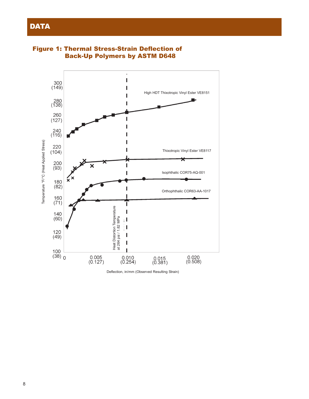

Figure 1: Thermal Stress-Strain Deflection of Back-Up Polymers by ASTM D648

Deflection, in/mm (Observed Resulting Strain)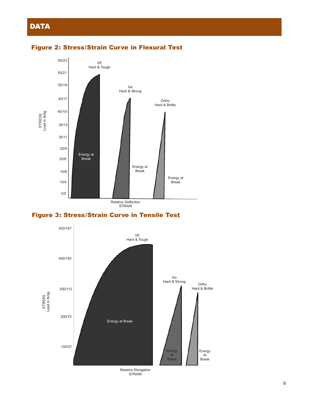

#### Figure 2: Stress/Strain Curve in Flexural Test

### Figure 3: Stress/Strain Curve in Tensile Test



Relative Elongation STRAIN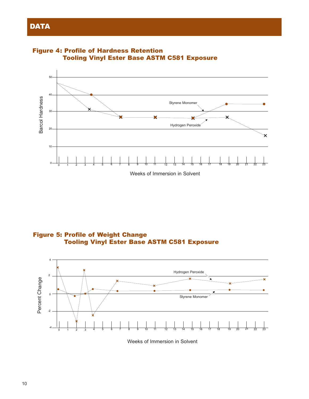



Figure 5: Profile of Weight Change Tooling Vinyl Ester Base ASTM C581 Exposure



Weeks of Immersion in Solvent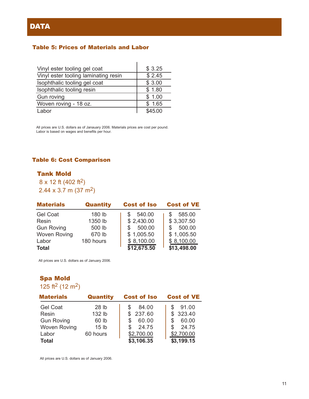#### Table 5: Prices of Materials and Labor

| Vinyl ester tooling gel coat         | \$3.25  |
|--------------------------------------|---------|
| Vinyl ester tooling laminating resin | \$2.45  |
| Isophthalic tooling gel coat         | \$3.00  |
| Isophthalic tooling resin            | \$1.80  |
| Gun roving                           | \$1.00  |
| Woven roving - 18 oz.                | \$1.65  |
| Labor                                | \$45.00 |

All prices are U.S. dollars as of Janauary 2006. Materials prices are cost per pound. Labor is based on wages and benefits per hour.

#### Table 6: Cost Comparison

#### Tank Mold

 $8 \times 12$  ft (402 ft<sup>2</sup>) 2.44 x 3.7 m (37 m2)

| <b>Materials</b>    | <b>Quantity</b> | <b>Cost of Iso</b> | <b>Cost of VE</b> |
|---------------------|-----------------|--------------------|-------------------|
| <b>Gel Coat</b>     | 180 lb          | 540.00             | 585.00            |
| Resin               | 1350 lb         | \$2,430.00         | \$3,307.50        |
| <b>Gun Roving</b>   | 500 lb          | 500.00<br>\$.      | 500.00<br>\$      |
| <b>Woven Roving</b> | 670 lb          | \$1,005.50         | \$1,005.50        |
| Labor               | 180 hours       | \$8,100.00         | \$8,100.00        |
| <b>Total</b>        |                 | \$12,675.50        | \$13,498.00       |

All prices are U.S. dollars as of January 2006.

# Spa Mold

125 ft<sup>2</sup> (12 m<sup>2</sup>)

| <b>Materials</b>    | <b>Quantity</b>  | <b>Cost of Iso</b> | <b>Cost of VE</b> |
|---------------------|------------------|--------------------|-------------------|
| <b>Gel Coat</b>     | 28 lb            | 84.00              | 91.00             |
| Resin               | 132 lb           | 237.60<br>\$.      | \$323.40          |
| <b>Gun Roving</b>   | 60 lb            | 60.00              | 60.00<br>\$       |
| <b>Woven Roving</b> | 15 <sub>lb</sub> | 24.75              | 24.75<br>\$       |
| Labor               | 60 hours         | \$2,700.00         | \$2,700.00        |
| <b>Total</b>        |                  | \$3,106.35         | \$3,199.15        |

All prices are U.S. dollars as of January 2006.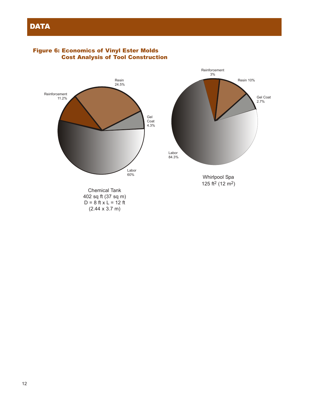

#### Figure 6: Economics of Vinyl Ester Molds Cost Analysis of Tool Construction